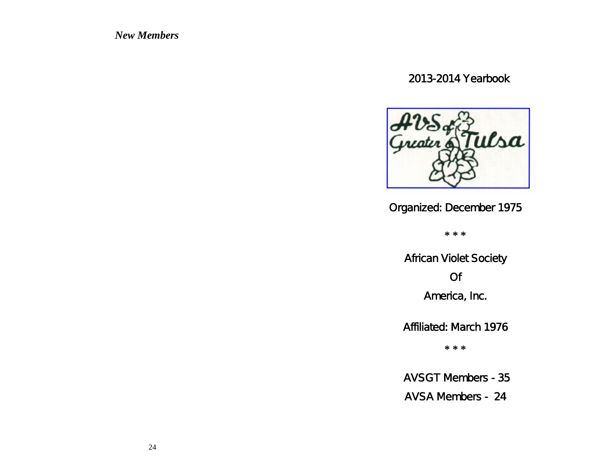*New Members*

2013-2014 Yearbook



Organized: December 1975

**\* \* \***

African Violet Society Of America, Inc.

Affiliated: March 1976

**\* \* \***

AVSGT Members - 35

AVSA Members - 24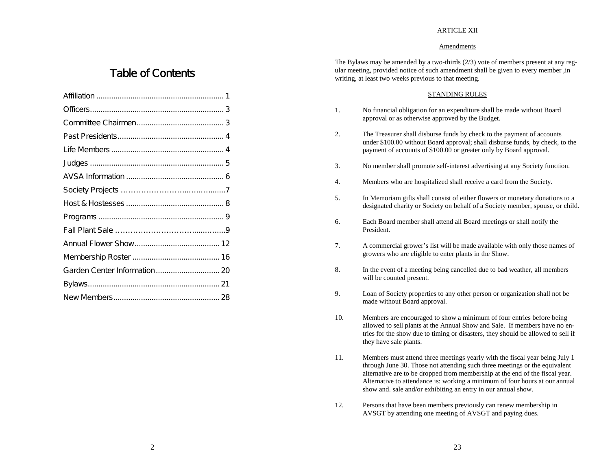#### ARTICLE XII

#### Amendments

# Table of Contents

| Garden Center Information 20 |  |
|------------------------------|--|
|                              |  |
|                              |  |

The Bylaws may be amended by a two-thirds  $(2/3)$  vote of members present at any regular meeting, provided notice of such amendment shall be given to every member ,in writing, at least two weeks previous to that meeting.

#### STANDING RULES

- 1. No financial obligation for an expenditure shall be made without Board approval or as otherwise approved by the Budget.
- 2. The Treasurer shall disburse funds by check to the payment of accounts under \$100.00 without Board approval; shall disburse funds, by check, to the payment of accounts of \$100.00 or greater only by Board approval.
- 3. No member shall promote self-interest advertising at any Society function.
- 4. Members who are hospitalized shall receive a card from the Society.
- 5. In Memoriam gifts shall consist of either flowers or monetary donations to a designated charity or Society on behalf of a Society member, spouse, or child.
- 6. Each Board member shall attend all Board meetings or shall notify the President.
- 7. A commercial grower's list will be made available with only those names of growers who are eligible to enter plants in the Show.
- 8. In the event of a meeting being cancelled due to bad weather, all members will be counted present.
- 9. Loan of Society properties to any other person or organization shall not be made without Board approval.
- 10. Members are encouraged to show a minimum of four entries before being allowed to sell plants at the Annual Show and Sale. If members have no entries for the show due to timing or disasters, they should be allowed to sell if they have sale plants.
- 11. Members must attend three meetings yearly with the fiscal year being July 1 through June 30. Those not attending such three meetings or the equivalent alternative are to be dropped from membership at the end of the fiscal year. Alternative to attendance is: working a minimum of four hours at our annual show and. sale and/or exhibiting an entry in our annual show.
- 12. Persons that have been members previously can renew membership in AVSGT by attending one meeting of AVSGT and paying dues.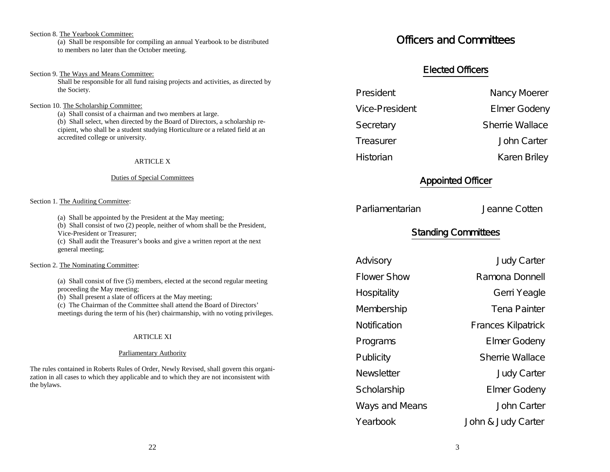#### Section 8. The Yearbook Committee: (a) Shall be responsible for compiling an annual Yearbook to be distributed to members no later than the October meeting.

#### Section 9. The Ways and Means Committee:

Shall be responsible for all fund raising projects and activities, as directed by the Society.

#### Section 10. The Scholarship Committee:

(a) Shall consist of a chairman and two members at large. (b) Shall select, when directed by the Board of Directors, a scholarship recipient, who shall be a student studying Horticulture or a related field at an accredited college or university.

#### ARTICLE X

#### Duties of Special Committees

#### Section 1. The Auditing Committee:

(a) Shall be appointed by the President at the May meeting;

(b) Shall consist of two (2) people, neither of whom shall be the President, Vice-President or Treasurer;

(c) Shall audit the Treasurer's books and give a written report at the next general meeting;

#### Section 2. The Nominating Committee:

(a) Shall consist of five (5) members, elected at the second regular meeting proceeding the May meeting;

(b) Shall present a slate of officers at the May meeting;

(c) The Chairman of the Committee shall attend the Board of Directors' meetings during the term of his (her) chairmanship, with no voting privileges.

#### **ARTICLE XI**

#### Parliamentary Authority

The rules contained in Roberts Rules of Order, Newly Revised, shall govern this organization in all cases to which they applicable and to which they are not inconsistent with the bylaws.

# Officers and Committees

## Elected Officers

President Nancy Moerer

Vice-President Elmer Godeny

Secretary Sherrie Wallace

Treasurer John Carter

Historian Karen Briley

### Appointed Officer

Parliamentarian Jeanne Cotten

# Standing Committees

Advisory **Judy Carter** Flower Show Ramona Donnell Hospitality **Gerri Yeagle** Membership Tena Painter Notification **Frances Kilpatrick** Programs Elmer Godeny Publicity **Sherrie Wallace** Newsletter **Manual** Judy Carter Scholarship Elmer Godeny Ways and Means **John Carter** Yearbook John & Judy Carter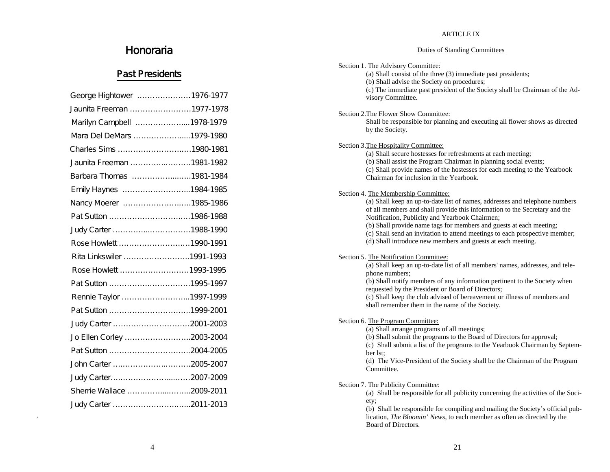#### ARTICLE IX

#### Duties of Standing Committees

| Honoraria                  | <b>Duties of Standing Committees</b>                                                                                                                                                    |
|----------------------------|-----------------------------------------------------------------------------------------------------------------------------------------------------------------------------------------|
| <b>Past Presidents</b>     | Section 1. The Advisory Committee:<br>(a) Shall consist of the three (3) immediate past presidents;<br>(b) Shall advise the Society on procedures;                                      |
| George Hightower 1976-1977 | (c) The immediate past president of the Society shall be Chairman of the Ad-<br>visory Committee.                                                                                       |
| Jaunita Freeman 1977-1978  | Section 2. The Flower Show Committee:                                                                                                                                                   |
| Marilyn Campbell 1978-1979 | Shall be responsible for planning and executing all flower shows as directed                                                                                                            |
| Mara Del DeMars 1979-1980  | by the Society.                                                                                                                                                                         |
| Charles Sims 1980-1981     | Section 3. The Hospitality Committee:<br>(a) Shall secure hostesses for refreshments at each meeting;                                                                                   |
| Jaunita Freeman 1981-1982  | (b) Shall assist the Program Chairman in planning social events;                                                                                                                        |
| Barbara Thomas 1981-1984   | (c) Shall provide names of the hostesses for each meeting to the Yearbook<br>Chairman for inclusion in the Yearbook.                                                                    |
| Emily Haynes 1984-1985     | Section 4. The Membership Committee:                                                                                                                                                    |
| Nancy Moerer 1985-1986     | (a) Shall keep an up-to-date list of names, addresses and telephone numbers                                                                                                             |
|                            | of all members and shall provide this information to the Secretary and the<br>Notification, Publicity and Yearbook Chairmen;                                                            |
| Judy Carter 1988-1990      | (b) Shall provide name tags for members and guests at each meeting;<br>(c) Shall send an invitation to attend meetings to each prospective member;                                      |
| Rose Howlett 1990-1991     | (d) Shall introduce new members and guests at each meeting.                                                                                                                             |
| Rita Linkswiler 1991-1993  | Section 5. The Notification Committee:                                                                                                                                                  |
| Rose Howlett 1993-1995     | (a) Shall keep an up-to-date list of all members' names, addresses, and tele-<br>phone numbers;                                                                                         |
|                            | (b) Shall notify members of any information pertinent to the Society when<br>requested by the President or Board of Directors;                                                          |
| Rennie Taylor 1997-1999    | (c) Shall keep the club advised of bereavement or illness of members and                                                                                                                |
|                            | shall remember them in the name of the Society.                                                                                                                                         |
|                            | Section 6. The Program Committee:<br>(a) Shall arrange programs of all meetings;                                                                                                        |
| Jo Ellen Corley 2003-2004  | (b) Shall submit the programs to the Board of Directors for approval;                                                                                                                   |
|                            | (c) Shall submit a list of the programs to the Yearbook Chairman by Septem-<br>ber 1st:                                                                                                 |
| John Carter 2005-2007      | (d) The Vice-President of the Society shall be the Chairman of the Program<br>Committee.                                                                                                |
| Judy Carter2007-2009       |                                                                                                                                                                                         |
| Sherrie Wallace 2009-2011  | Section 7. The Publicity Committee:<br>(a) Shall be responsible for all publicity concerning the activities of the Soci-                                                                |
|                            | ety;<br>(b) Shall be responsible for compiling and mailing the Society's official pub-<br>lication, The Bloomin' News, to each member as often as directed by the<br>Board of Directors |

Honoraria

.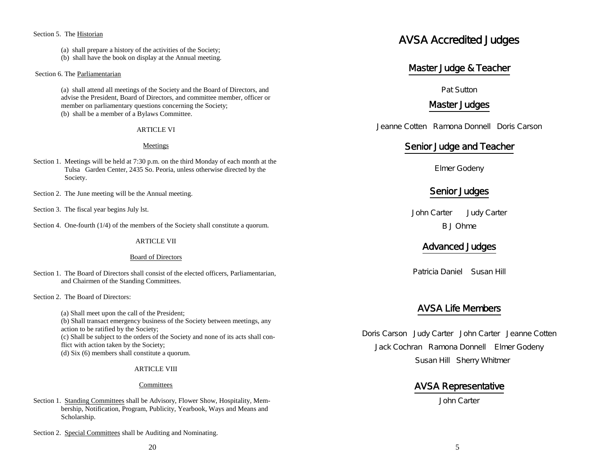#### Section 5. The Historian

- (a) shall prepare a history of the activities of the Society;
- (b) shall have the book on display at the Annual meeting.

#### Section 6. The Parliamentarian

(a) shall attend all meetings of the Society and the Board of Directors, and advise the President, Board of Directors, and committee member, officer or member on parliamentary questions concerning the Society; (b) shall be a member of a Bylaws Committee.

#### **ARTICLE VI**

#### Meetings

- Section 1. Meetings will be held at 7:30 p.m. on the third Monday of each month at the Tulsa Garden Center, 2435 So. Peoria, unless otherwise directed by the Society.
- Section 2. The June meeting will be the Annual meeting.
- Section 3. The fiscal year begins July lst.
- Section 4. One-fourth (1/4) of the members of the Society shall constitute a quorum.

#### ARTICLE VII

#### Board of Directors

- Section 1. The Board of Directors shall consist of the elected officers, Parliamentarian, and Chairmen of the Standing Committees.
- Section 2. The Board of Directors:

(a) Shall meet upon the call of the President; (b) Shall transact emergency business of the Society between meetings, any action to be ratified by the Society; (c) Shall be subject to the orders of the Society and none of its acts shall conflict with action taken by the Society; (d) Six (6) members shall constitute a quorum.

#### ARTICLE VIII

#### **Committees**

- Section 1. Standing Committees shall be Advisory, Flower Show, Hospitality, Membership, Notification, Program, Publicity, Yearbook, Ways and Means and Scholarship.
- Section 2. Special Committees shall be Auditing and Nominating.

# AVSA Accredited Judges

### Master Judge & Teacher

Pat Sutton

### Master Judges

Jeanne Cotten Ramona Donnell Doris Carson

### Senior Judge and Teacher

Elmer Godeny

### Senior Judges

John Carter Judy Carter B J Ohme

### Advanced Judges

Patricia Daniel Susan Hill

### AVSA Life Members

Doris Carson Judy Carter John Carter Jeanne Cotten Jack Cochran Ramona Donnell Elmer Godeny Susan Hill Sherry Whitmer

### AVSA Representative

John Carter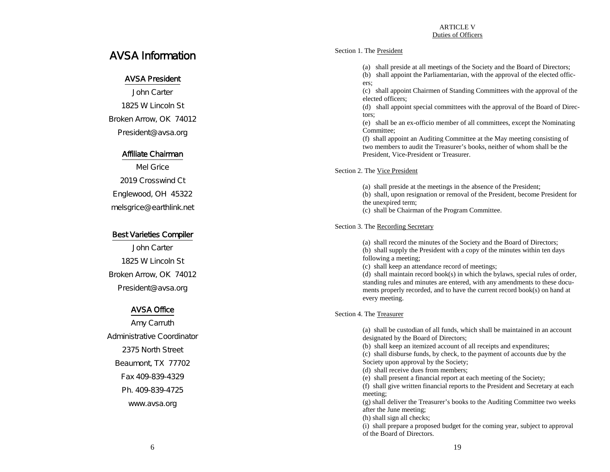#### ARTICLE V Duties of Officers

# AVSA Information

### AVSA President

John Carter 1825 W Lincoln St Broken Arrow, OK 74012 President@avsa.org

### Affiliate Chairman

Mel Grice 2019 Crosswind Ct Englewood, OH 45322 melsgrice@earthlink.net

### Best Varieties Compiler

John Carter 1825 W Lincoln St Broken Arrow, OK 74012 President@avsa.org

### AVSA Office

Amy Carruth Administrative Coordinator 2375 North Street Beaumont, TX 77702 Fax 409-839-4329 Ph. 409-839-4725 www.avsa.org

#### Section 1. The President

(a) shall preside at all meetings of the Society and the Board of Directors;

(b) shall appoint the Parliamentarian, with the approval of the elected officers;

(c) shall appoint Chairmen of Standing Committees with the approval of the elected officers;

(d) shall appoint special committees with the approval of the Board of Directors;

(e) shall be an ex-officio member of all committees, except the Nominating Committee;

(f) shall appoint an Auditing Committee at the May meeting consisting of two members to audit the Treasurer's books, neither of whom shall be the President, Vice-President or Treasurer.

Section 2. The Vice President

(a) shall preside at the meetings in the absence of the President;

(b) shall, upon resignation or removal of the President, become President for the unexpired term;

(c) shall be Chairman of the Program Committee.

Section 3. The Recording Secretary

(a) shall record the minutes of the Society and the Board of Directors;

(b) shall supply the President with a copy of the minutes within ten days following a meeting;

(c) shall keep an attendance record of meetings;

(d) shall maintain record book(s) in which the bylaws, special rules of order, standing rules and minutes are entered, with any amendments to these documents properly recorded, and to have the current record book(s) on hand at every meeting.

#### Section 4. The Treasurer

(a) shall be custodian of all funds, which shall be maintained in an account designated by the Board of Directors;

(b) shall keep an itemized account of all receipts and expenditures;

(c) shall disburse funds, by check, to the payment of accounts due by the Society upon approval by the Society;

(d) shall receive dues from members;

(e) shall present a financial report at each meeting of the Society;

(f) shall give written financial reports to the President and Secretary at each meeting;

(g) shall deliver the Treasurer's books to the Auditing Committee two weeks after the June meeting;

(h) shall sign all checks;

(i) shall prepare a proposed budget for the coming year, subject to approval of the Board of Directors.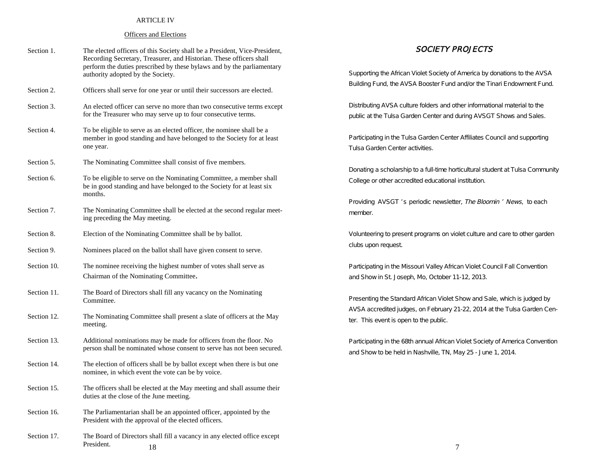#### ARTICLE IV

#### Officers and Elections

| Section 1.  | The elected officers of this Society shall be a President, Vice-President,<br>Recording Secretary, Treasurer, and Historian. These officers shall<br>perform the duties prescribed by these bylaws and by the parliamentary<br>authority adopted by the Society. | <i>SOCIETY PI</i><br>Supporting the African Violet Society of A                         |
|-------------|------------------------------------------------------------------------------------------------------------------------------------------------------------------------------------------------------------------------------------------------------------------|-----------------------------------------------------------------------------------------|
| Section 2.  | Officers shall serve for one year or until their successors are elected.                                                                                                                                                                                         | Building Fund, the AVSA Booster Fund a                                                  |
| Section 3.  | An elected officer can serve no more than two consecutive terms except<br>for the Treasurer who may serve up to four consecutive terms.                                                                                                                          | Distributing AVSA culture folders and oth<br>public at the Tulsa Garden Center and di   |
| Section 4.  | To be eligible to serve as an elected officer, the nominee shall be a<br>member in good standing and have belonged to the Society for at least<br>one year.                                                                                                      | Participating in the Tulsa Garden Center<br>Tulsa Garden Center activities.             |
| Section 5.  | The Nominating Committee shall consist of five members.                                                                                                                                                                                                          |                                                                                         |
| Section 6.  | To be eligible to serve on the Nominating Committee, a member shall<br>be in good standing and have belonged to the Society for at least six<br>months.                                                                                                          | Donating a scholarship to a full-time hort<br>College or other accredited educational i |
| Section 7.  | The Nominating Committee shall be elected at the second regular meet-<br>ing preceding the May meeting.                                                                                                                                                          | Providing AVSGT 's periodic newslette<br>member.                                        |
| Section 8.  | Election of the Nominating Committee shall be by ballot.                                                                                                                                                                                                         | Volunteering to present programs on viol                                                |
| Section 9.  | Nominees placed on the ballot shall have given consent to serve.                                                                                                                                                                                                 | clubs upon request.                                                                     |
| Section 10. | The nominee receiving the highest number of votes shall serve as<br>Chairman of the Nominating Committee.                                                                                                                                                        | Participating in the Missouri Valley Africa<br>and Show in St. Joseph, Mo, October 11   |
| Section 11. | The Board of Directors shall fill any vacancy on the Nominating<br>Committee.                                                                                                                                                                                    | Presenting the Standard African Violet S                                                |
| Section 12. | The Nominating Committee shall present a slate of officers at the May<br>meeting.                                                                                                                                                                                | AVSA accredited judges, on February 21<br>ter. This event is open to the public.        |
| Section 13. | Additional nominations may be made for officers from the floor. No<br>person shall be nominated whose consent to serve has not been secured.                                                                                                                     | Participating in the 68th annual African V<br>and Show to be held in Nashville, TN, Ma  |
| Section 14. | The election of officers shall be by ballot except when there is but one<br>nominee, in which event the vote can be by voice.                                                                                                                                    |                                                                                         |
| Section 15. | The officers shall be elected at the May meeting and shall assume their<br>duties at the close of the June meeting.                                                                                                                                              |                                                                                         |
| Section 16. | The Parliamentarian shall be an appointed officer, appointed by the<br>President with the approval of the elected officers.                                                                                                                                      |                                                                                         |
| Section 17. | The Board of Directors shall fill a vacancy in any elected office except<br>President.<br>18                                                                                                                                                                     | 7                                                                                       |

#### SOCIETY PROJECTS

Supporting the African Violet Society of America by donations to the AVSA Building Fund, the AVSA Booster Fund and/or the Tinari Endowment Fund.

Distributing AVSA culture folders and other informational material to the public at the Tulsa Garden Center and during AVSGT Shows and Sales.

Participating in the Tulsa Garden Center Affiliates Council and supporting Tulsa Garden Center activities.

Donating a scholarship to a full-time horticultural student at Tulsa Community College or other accredited educational institution.

Providing AVSGT 's periodic newsletter, The Bloomin ' News, to each member.

Volunteering to present programs on violet culture and care to other garden clubs upon request.

Participating in the Missouri Valley African Violet Council Fall Convention and Show in St. Joseph, Mo, October 11-12, 2013.

Presenting the Standard African Violet Show and Sale, which is judged by AVSA accredited judges, on February 21-22, 2014 at the Tulsa Garden Center. This event is open to the public.

Participating in the 68th annual African Violet Society of America Convention and Show to be held in Nashville, TN, May 25 - June 1, 2014.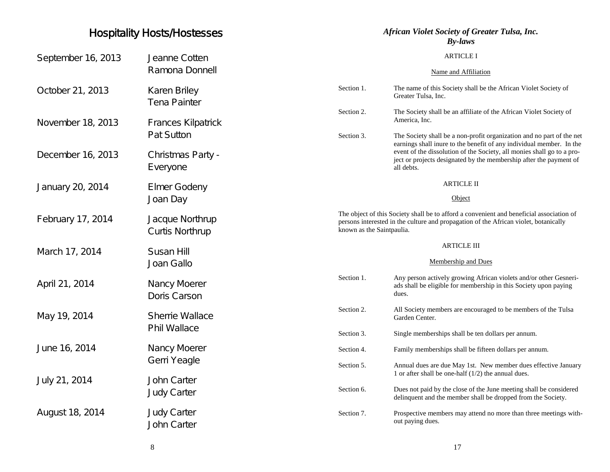# Hospitality Hosts/Hostesses

| September 16, 2013 | Jeanne Cotten<br>Ramona Donnell               |                                                                                                                                                                                                               | <b>ARTICLE I</b><br>Name and Affiliation                                                                                                                                                                                                                                                                    |
|--------------------|-----------------------------------------------|---------------------------------------------------------------------------------------------------------------------------------------------------------------------------------------------------------------|-------------------------------------------------------------------------------------------------------------------------------------------------------------------------------------------------------------------------------------------------------------------------------------------------------------|
| October 21, 2013   | Karen Briley<br><b>Tena Painter</b>           | Section 1.                                                                                                                                                                                                    | The name of this Society shall be the African Violet Society of<br>Greater Tulsa, Inc.                                                                                                                                                                                                                      |
| November 18, 2013  | <b>Frances Kilpatrick</b><br>Pat Sutton       | Section 2.                                                                                                                                                                                                    | The Society shall be an affiliate of the African Violet Society of<br>America, Inc.                                                                                                                                                                                                                         |
| December 16, 2013  | Christmas Party -<br>Everyone                 | Section 3.                                                                                                                                                                                                    | The Society shall be a non-profit organization and no part of the net<br>earnings shall inure to the benefit of any individual member. In the<br>event of the dissolution of the Society, all monies shall go to a pro-<br>ject or projects designated by the membership after the payment of<br>all debts. |
| January 20, 2014   | <b>Elmer Godeny</b><br>Joan Day               |                                                                                                                                                                                                               | <b>ARTICLE II</b><br>Object                                                                                                                                                                                                                                                                                 |
| February 17, 2014  | Jacque Northrup<br><b>Curtis Northrup</b>     | The object of this Society shall be to afford a convenient and beneficial association of<br>persons interested in the culture and propagation of the African violet, botanically<br>known as the Saintpaulia. |                                                                                                                                                                                                                                                                                                             |
| March 17, 2014     | Susan Hill<br>Joan Gallo                      |                                                                                                                                                                                                               | <b>ARTICLE III</b><br>Membership and Dues                                                                                                                                                                                                                                                                   |
| April 21, 2014     | Nancy Moerer<br>Doris Carson                  | Section 1.                                                                                                                                                                                                    | Any person actively growing African violets and/or other Gesneri-<br>ads shall be eligible for membership in this Society upon paying<br>dues.                                                                                                                                                              |
| May 19, 2014       | <b>Sherrie Wallace</b><br><b>Phil Wallace</b> | Section 2.                                                                                                                                                                                                    | All Society members are encouraged to be members of the Tulsa<br>Garden Center.                                                                                                                                                                                                                             |
| June 16, 2014      | Nancy Moerer                                  | Section 3.<br>Section 4.                                                                                                                                                                                      | Single memberships shall be ten dollars per annum.<br>Family memberships shall be fifteen dollars per annum.                                                                                                                                                                                                |
|                    | Gerri Yeagle<br><b>John Carter</b>            | Section 5.                                                                                                                                                                                                    | Annual dues are due May 1st. New member dues effective January<br>1 or after shall be one-half $(1/2)$ the annual dues.                                                                                                                                                                                     |
| July 21, 2014      | <b>Judy Carter</b>                            | Section 6.                                                                                                                                                                                                    | Dues not paid by the close of the June meeting shall be considered<br>delinquent and the member shall be dropped from the Society.                                                                                                                                                                          |
| August 18, 2014    | <b>Judy Carter</b><br><b>John Carter</b>      | Section 7.                                                                                                                                                                                                    | Prospective members may attend no more than three meetings with-<br>out paying dues.                                                                                                                                                                                                                        |

*African Violet Society of Greater Tulsa, Inc. By-laws*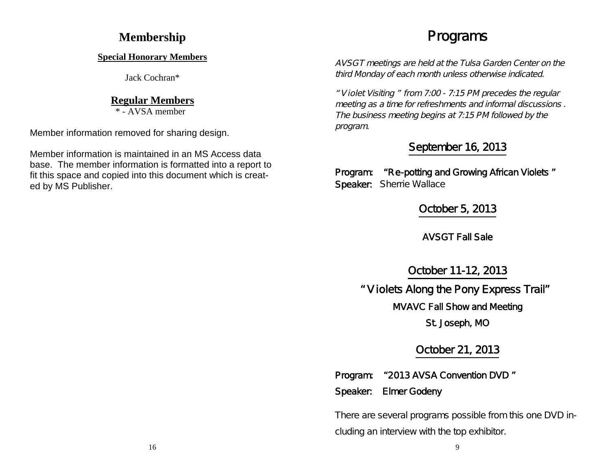# **Membership**

### **Special Honorary Members**

Jack Cochran\*

# **Regular Members**

\* - AVSA member

Member information removed for sharing design.

Member information is maintained in an MS Access data base. The member information is formatted into a report to fit this space and copied into this document which is created by MS Publisher.

# Programs

AVSGT meetings are held at the Tulsa Garden Center on the third Monday of each month unless otherwise indicated.

" <sup>V</sup> iolet Visiting " from 7:00 - 7:15 PM precedes the regular meeting as <sup>a</sup> time for refreshments and informal discussions . The business meeting begins at 7:15 PM followed by the program.

# September 16, 2013

Program: "Re-potting and Growing African Violets " Speaker: Sherrie Wallace

October 5, 2013

AVSGT Fall Sale

October 11-12, 2013

" V iolets Along the Pony Express Trail"

MVAVC Fall Show and Meeting

St. Joseph, MO

October 21, 2013

- Program: "2013 AVSA Convention DVD "
- Speaker: Elmer Godeny

There are several programs possible from this one DVD including an interview with the top exhibitor.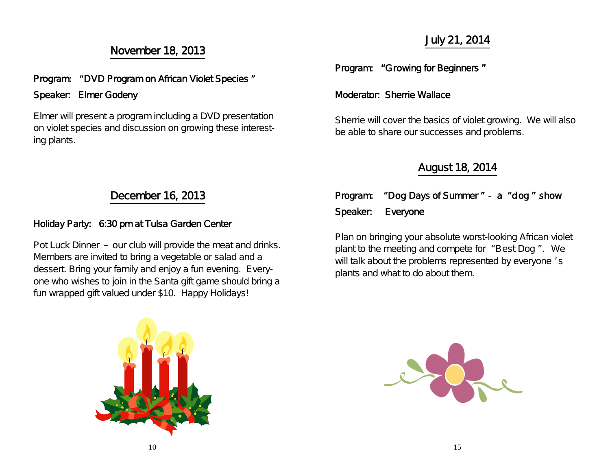# November 18, 2013

# Program: " DVD Program on African Violet Species " Speaker: Elmer Godeny

Elmer will present a program including a DVD presentation on violet species and discussion on growing these interesting plants.

# July 21, 2014

Program: "Growing for Beginners "

### Moderator: Sherrie Wallace

Sherrie will cover the basics of violet growing. We will also be able to share our successes and problems.

# August 18, 2014

# December 16, 2013

# Holiday Party: 6:30 pm at Tulsa Garden Center

Pot Luck Dinner – our club will provide the meat and drinks. Members are invited to bring a vegetable or salad and a dessert. Bring your family and enjoy a fun evening. Everyone who wishes to join in the Santa gift game should bring a fun wrapped gift valued under \$10. Happy Holidays!

| Program: "Dog Days of Summer" - a "dog" show |  |
|----------------------------------------------|--|
| Speaker: Everyone                            |  |

Plan on bringing your absolute worst-looking African violet plant to the meeting and compete for " Best Dog " . We will talk about the problems represented by everyone 's plants and what to do about them.



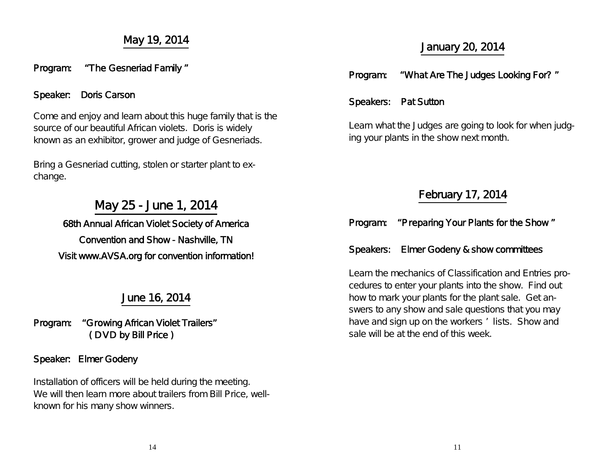# May 19, 2014

### Program: "The Gesneriad Family "

## Speaker: Doris Carson

Come and enjoy and learn about this huge family that is the source of our beautiful African violets. Doris is widely known as an exhibitor, grower and judge of Gesneriads.

Bring a Gesneriad cutting, stolen or starter plant to exchange.

# May 25 - June 1, 2014

68th Annual African Violet Society of America Convention and Show - Nashville, TN Visit www.AVSA.org for convention information!

# June 16, 2014

Program: "Growing African Violet Trailers" ( D VD by Bill Price )

### Speaker: Elmer Godeny

Installation of officers will be held during the meeting. We will then learn more about trailers from Bill Price, wellknown for his many show winners.

# January 20, 2014

# Program: "What Are The Judges Looking For? "

## Speakers: Pat Sutton

Learn what the Judges are going to look for when judging your plants in the show next month.

# February 17, 2014

# Program: "Preparing Your Plants for the Show "

### Speakers: Elmer Godeny & show committees

Learn the mechanics of Classification and Entries procedures to enter your plants into the show. Find out how to mark your plants for the plant sale. Get answers to any show and sale questions that you may have and sign up on the workers ' lists. Show and sale will be at the end of this week.